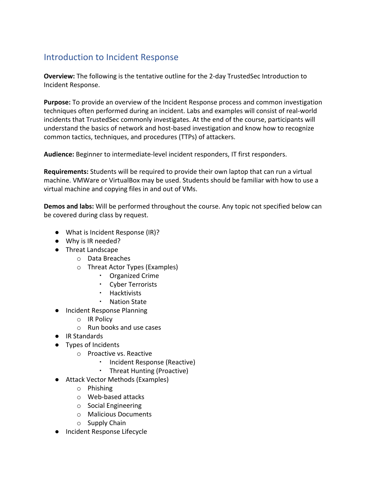## Introduction to Incident Response

**Overview:** The following is the tentative outline for the 2-day TrustedSec Introduction to Incident Response.

**Purpose:** To provide an overview of the Incident Response process and common investigation techniques often performed during an incident. Labs and examples will consist of real-world incidents that TrustedSec commonly investigates. At the end of the course, participants will understand the basics of network and host-based investigation and know how to recognize common tactics, techniques, and procedures (TTPs) of attackers.

**Audience:** Beginner to intermediate-level incident responders, IT first responders.

**Requirements:** Students will be required to provide their own laptop that can run a virtual machine. VMWare or VirtualBox may be used. Students should be familiar with how to use a virtual machine and copying files in and out of VMs.

**Demos and labs:** Will be performed throughout the course. Any topic not specified below can be covered during class by request.

- What is Incident Response (IR)?
- Why is IR needed?
- Threat Landscape
	- o Data Breaches
	- o Threat Actor Types (Examples)
		- Organized Crime
		- Cyber Terrorists
		- Hacktivists
		- Nation State
- Incident Response Planning
	- o IR Policy
	- o Run books and use cases
- IR Standards
- Types of Incidents
	- o Proactive vs. Reactive
		- Incident Response (Reactive)
		- Threat Hunting (Proactive)
- Attack Vector Methods (Examples)
	- o Phishing
	- o Web-based attacks
	- o Social Engineering
	- o Malicious Documents
	- o Supply Chain
- Incident Response Lifecycle